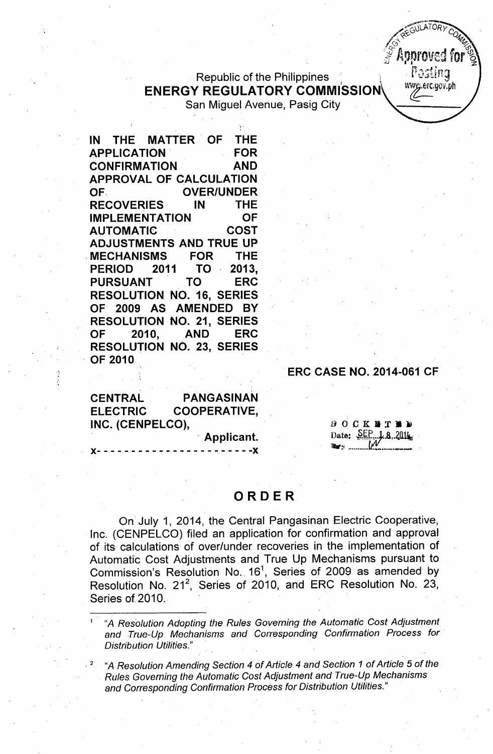## Republic of the Philippines **ENERGY REGULATORY COMMISSION** San Miguel Avenue, Pasig City

',.

**IN THE MATTER' OF THE APPLICATION' FOR CONFIRMATION AND APPROVAL OF CALCULATION OF. OVER/UNDER RECOVERIES IN THE IMPLEMENTATION OF AUTOMATIC COST ADJUSTMENTS AND TRUE UP ,MECHANISMS FOR THE PERIOD 2011 TO. 2013, PURSUANT TO ERC RESOLUTION NO. 16, SERIES OF 2009 AS AMENDED BY RESOLUTION NO. 21, SERIES OF 2010, AND ERC RESOLUTION NO. 23, SERIES . OF 2010**

## **ERC CASE NO. 2014-061 CF**

GULATOR

Annroved fol

Postina wwg.erc.gov.ph

**CENTRAL PANGASINAN ELECTRIC COOPERATIVE, INC. (CENPELCO),**

**)(- - - - - - - - - - - - - - - -** <sup>~</sup> - - - - **- -)(**

**. Applicant.**

 $\theta$ OCKETED Date: SEP 1.8.2014

## **ORDER**

On July 1, 2014, the Central Pangasinan Electric Cooperative, Inc. (CENPELCO) filed an application for confirmation and approval of its calculations of over/under recoveries in the implementation of Automatic Cost Adjustments and True Up Mechanisms pursuant to Commission's Resolution No. 16<sup>1</sup>, Series of 2009 as amended by Resolution No. 21<sup>2</sup>, Series of 2010, and ERC Resolution No. 23, Series of 2010.

<sup>1</sup> "A *Resolution Adopting the Rules Governing the Automatic Cost Adjustment and True-Up Mechanisms and Corresponding Confirmation Process for Distribution Utilities."*

<sup>2</sup> "A *Resolution Amending Section* 4 *of Article* 4 *and Section* 1 *of Article* 5 *of the Rules Governing the Automatic Cost Adjustment and True-Up Mechanisms and Corresponding Confirmation Process for Distribution Utilities."*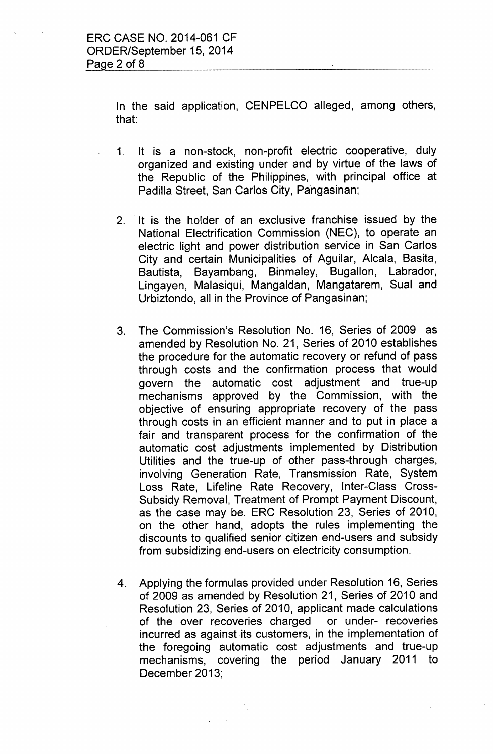In the said application, CENPELCO alleged, among others, that:

- 1. It is a non-stock, non-profit electric cooperative, duly organized and existing under and by virtue of the laws of the Republic of the Philippines, with principal office at Padilla Street, San Carlos City, Pangasinan;
- 2. It is the holder of an exclusive franchise issued by the National Electrification Commission (NEC), to operate an electric light and power distribution service in San Carlos City and certain Municipalities of Aguilar, Alcala, Basita, Bautista, Bayambang, Binmaley, Bugallon, Labrador, Lingayen, Malasiqui, Mangaldan, Mangatarem, Sual and Urbiztondo, all in the Province of Pangasinan;
- 3. The Commission's Resolution No. 16, Series of 2009 as amended by Resolution No. 21, Series of 2010 establishes the procedure for the automatic recovery or refund of pass through costs and the confirmation process that would govern the automatic cost adjustment and true-up mechanisms approved by the Commission, with the objective of ensuring appropriate recovery of the pass through costs in an efficient manner and to put in place a fair and transparent process for the confirmation of the automatic cost adjustments implemented by Distribution Utilities and the true-up of other pass-through charges, involving Generation Rate, Transmission Rate, System Loss Rate, Lifeline Rate Recovery, Inter-Class Cross-Subsidy Removal, Treatment of Prompt Payment Discount, as the case may be. ERC Resolution 23, Series of 2010, on the other hand, adopts the rules implementing the discounts to qualified senior citizen end-users and subsidy from subsidizing end-users on electricity consumption.
- 4. Applying the formulas provided under Resolution 16, Series of 2009 as amended by Resolution 21, Series of 2010 and Resolution 23, Series of 2010, applicant made calculations of the over recoveries charged or under- recoveries incurred as against its customers, in the implementation of the foregoing automatic cost adjustments and true-up mechanisms, covering the period January 2011 to December 2013;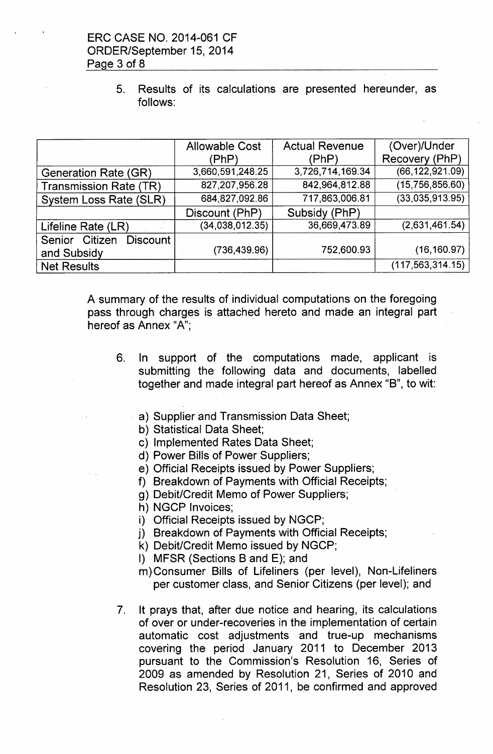5. Results of its calculations are presented hereunder, as follows:

|                                                | <b>Allowable Cost</b> | <b>Actual Revenue</b> | (Over)/Under       |
|------------------------------------------------|-----------------------|-----------------------|--------------------|
|                                                | (PhP)                 | (PhP)                 | Recovery (PhP)     |
| <b>Generation Rate (GR)</b>                    | 3,660,591,248.25      | 3,726,714,169.34      | (66, 122, 921.09)  |
| <b>Transmission Rate (TR)</b>                  | 827,207,956.28        | 842,964,812.88        | (15,756,856.60)    |
| System Loss Rate (SLR)                         | 684, 827, 092.86      | 717,863,006.81        | (33,035,913.95)    |
|                                                | Discount (PhP)        | Subsidy (PhP)         |                    |
| Lifeline Rate (LR)<br>$\sim 10^{-1}$ k $^{-1}$ | (34,038,012.35)       | 36,669,473.89         | (2,631,461.54)     |
| Senior Citizen<br><b>Discount</b>              |                       |                       |                    |
| and Subsidy                                    | (736, 439.96)         | 752,600.93            | (16, 160.97)       |
| <b>Net Results</b>                             |                       |                       | (117, 563, 314.15) |

A summary of the results of individual computations on the foregoing pass through charges is attached hereto and made an integral part hereof as Annex "A";

- 6. In support of the computations made, applicant is submitting the following data and documents, labelled together and made integral part hereof as Annex "B", to wit:
	- a) Supplier and Transmission Data Sheet;
	- b) Statistical Data Sheet;
	- c) Implemented Rates Data Sheet;
	- d) Power Bills of Power Suppliers;
	- e) Official Receipts issued by Power Suppliers;
	- f) Breakdown of Payments with Official Receipts;
	- g) Debit/Credit Memo of Power Suppliers;
	- h) NGCP Invoices;
	- i) Official Receipts issued by NGCP;
	- j) Breakdown of Payments with Official Receipts;
	- k) Debit/Credit Memo issued by NGCP;
	- I) MFSR (Sections B and E); and
	- m) Consumer Bills of Lifeliners (per level), Non-Lifeliners per customer class, and Senior Citizens (per level); and
- 7. It prays that, after due notice and hearing, its calculations of over or under-recoveries in the implementation of certain automatic cost adjustments and true-up mechanisms covering the period January 2011 to December 2013 pursuant to the Commission's Resolution 16, Series of 2009 as amended by Resolution 21, Series of 2010 and Resolution 23, Series of 2011, be confirmed and approved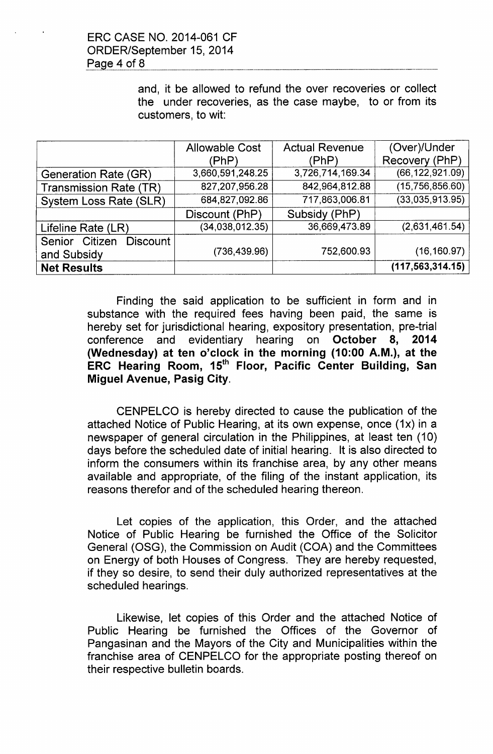and, it be allowed to refund the over recoveries or collect the under recoveries, as the case maybe, to or from its customers, to wit:

|                                   | <b>Allowable Cost</b> | <b>Actual Revenue</b> | (Over)/Under       |
|-----------------------------------|-----------------------|-----------------------|--------------------|
|                                   | (PhP)                 | (PhP)                 | Recovery (PhP)     |
| Generation Rate (GR)              | 3,660,591,248.25      | 3,726,714,169.34      | (66, 122, 921.09)  |
| <b>Transmission Rate (TR)</b>     | 827,207,956.28        | 842,964,812.88        | (15,756,856.60)    |
| System Loss Rate (SLR)            | 684,827,092.86        | 717,863,006.81        | (33,035,913.95)    |
|                                   | Discount (PhP)        | Subsidy (PhP)         |                    |
| Lifeline Rate (LR)                | (34,038,012.35)       | 36,669,473.89         | (2,631,461.54)     |
| Senior Citizen<br><b>Discount</b> |                       |                       |                    |
| and Subsidy                       | (736, 439.96)         | 752,600.93            | (16, 160.97)       |
| <b>Net Results</b>                |                       |                       | (117, 563, 314.15) |

Finding the said application to be sufficient in form and in substance with the required fees having been paid, the same is hereby set for jurisdictional hearing, expository presentation, pre-trial conference and evidentiary hearing on October 8, 2014 (Wednesday) at ten o'clock in the morning (10:00 A.M.), at the ERC Hearing Room, 15<sup>th</sup> Floor, Pacific Center Building, San Miguel Avenue, Pasig City.

CENPELCO is hereby directed to cause the publication of the attached Notice of Public Hearing, at its own expense, once (1x) in a newspaper of general circulation in the Philippines, at least ten (10) days before the scheduled date of initial hearing. It is also directed to inform the consumers within its franchise area, by any other means available and appropriate, of the filing of the instant application, its reasons therefor and of the scheduled hearing thereon.

Let copies of the application, this Order, and the attached Notice of Public Hearing be furnished the Office of the Solicitor General (OSG), the Commission on Audit (COA) and the Committees on Energy of both Houses of Congress. They are hereby requested, if they so desire, to send their duly authorized representatives at the scheduled hearings.

Likewise, let copies of this Order and the attached Notice of Public Hearing be furnished the Offices of the Governor of Pangasinan and the Mayors of the City and Municipalities within the franchise area of CENPELCO for the appropriate posting thereof on their respective bulletin boards.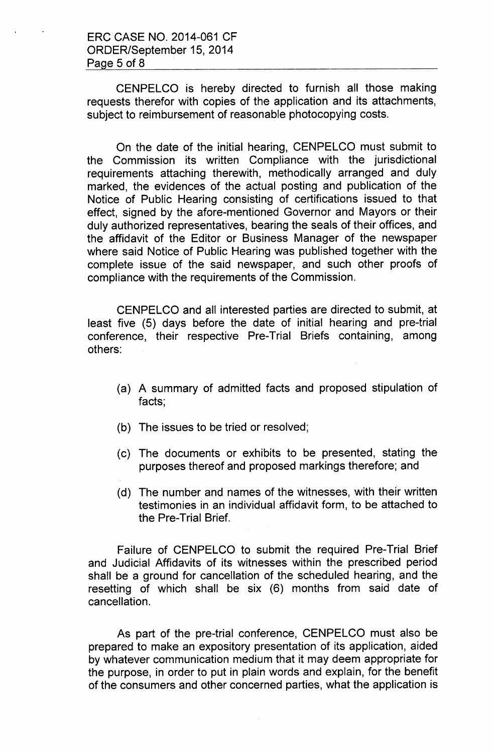CENPELCO is hereby directed to furnish all those making requests therefor with copies of the application and its attachments, subject to reimbursement of reasonable photocopying costs.

On the date of the initial hearing, CENPELCO must submit to the Commission its written Compliance with the jurisdictional requirements attaching therewith, methodically arranged and duly marked, the evidences of the actual posting and publication of the Notice of Public Hearing consisting of certifications issued to that effect, signed by the afore-mentioned Governor and Mayors or their duly authorized representatives, bearing the seals of their offices, and the affidavit of the Editor or Business Manager of the newspaper where said Notice of Public Hearing was published together with the complete issue of the said newspaper, and such other proofs of compliance with the requirements of the Commission.

CENPELCO and all interested parties are directed to submit, at least five (5) days before the date of initial hearing and pre-trial conference, their respective Pre-Trial Briefs containing, among others:

- (a) A summary of admitted facts and proposed stipulation of facts;
- (b) The issues to be tried or resolved;
- (c) The documents or exhibits to be presented, stating the purposes thereof and proposed markings therefore; and
- (d) The number and names of the witnesses, with their written testimonies in an individual affidavit form, to be attached to the Pre-Trial Brief.

Failure of CENPELCO to submit the required Pre-Trial Brief and Judicial Affidavits of its witnesses within the prescribed period shall be a ground for cancellation of the scheduled hearing, and the resetting of which shall be six (6) months from said date of cancellation.

As part of the pre-trial conference, CENPELCO must also be prepared to make an expository presentation of its application, aided by whatever communication medium that it may deem appropriate for the purpose, in order to put in plain words and explain, for the benefit of the consumers and other concerned parties, what the application is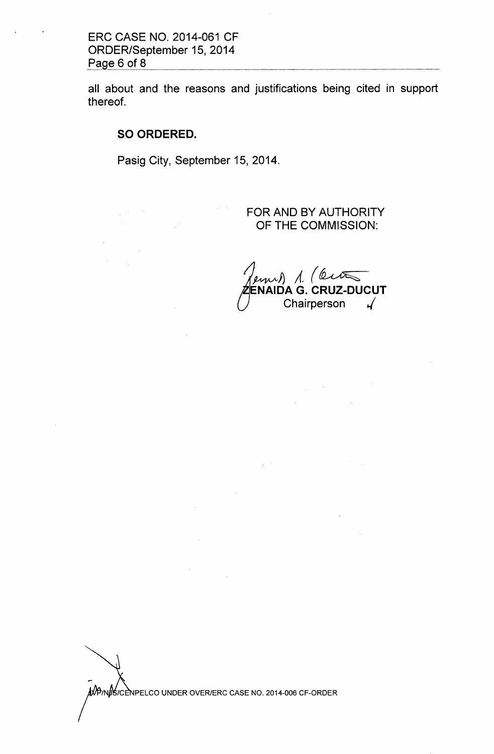all about and the reasons and justifications being cited in support thereof.

**SO ORDERED.**

Pasig City, September 15,2014.

FOR AND BY AUTHORITY OF THE COMMISSION:

 $m)$  1. (City **ENAIDA G. CRUZ-DUCUT** Chairperson  $\sqrt{ }$ 

 $\label{eq:2.1} \frac{1}{\sqrt{2}}\left(\frac{1}{\sqrt{2}}\left(\frac{1}{2}\right)^2\right)^{1/2}\left(\frac{1}{2}\left(\frac{1}{2}\right)^2\right)^{1/2}\left(\frac{1}{2}\right)^{1/2}\right).$ 

•... *(IN* /C PELCO UNDER OVER/ERC CASE NO. 2014-006 CF-ORDER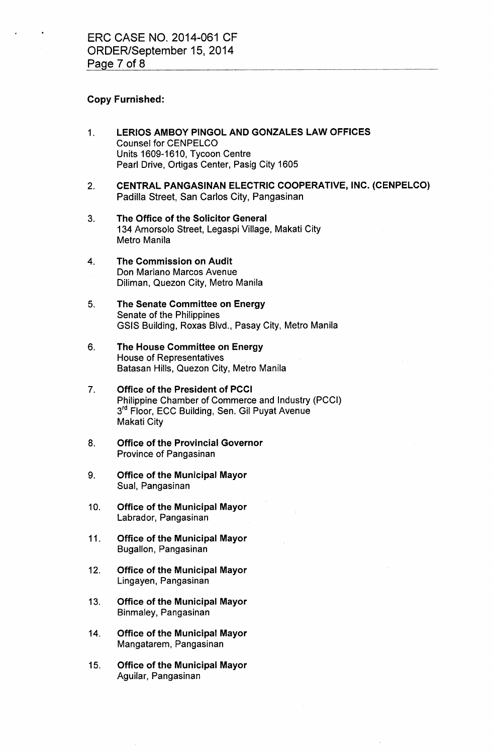## Copy Furnished:

- 1. LERIOS AMBOY PINGOL AND GONZALES LAW OFFICES Counsel for CENPELCO Units 1609-1610, Tycoon Centre Pearl Drive, Ortigas Center, Pasig City 1605
- 2. CENTRAL PANGASINAN ELECTRIC COOPERATIVE, INC. (CENPELCO) Padilla Street, San Carlos City, Pangasinan
- 3. The Office of the Solicitor General 134 Amorsolo Street, Legaspi Village, Makati City Metro Manila
- 4. The Commission on Audit Don Mariano Marcos Avenue Diliman, Quezon City, Metro Manila
- 5. The Senate Committee on Energy Senate of the Philippines GSIS Building, Roxas Blvd., Pasay City, Metro Manila
- 6. The House Committee on Energy House of Representatives Batasan Hills, Quezon City, Metro Manila
- 7. Office of the President of PCCI Philippine Chamber of Commerce and Industry (PCCI) 3<sup>rd</sup> Floor, ECC Building, Sen. Gil Puyat Avenue Makati City
- 8. Office of the Provincial Governor Province of Pangasinan
- 9. Office of the Municipal Mayor Sual, Pangasinan
- 10. Office of the Municipal Mayor Labrador, Pangasinan
- 11. Office of the Municipal Mayor Bugallon, Pangasinan
- 12. Office of the Municipal Mayor Lingayen, Pangasinan
- 13. Office of the Municipal Mayor Binmaley, Pangasinan
- 14. Office of the Municipal Mayor Mangatarem, Pangasinan
- 15. Office of the Municipal Mayor Aguilar, Pangasinan